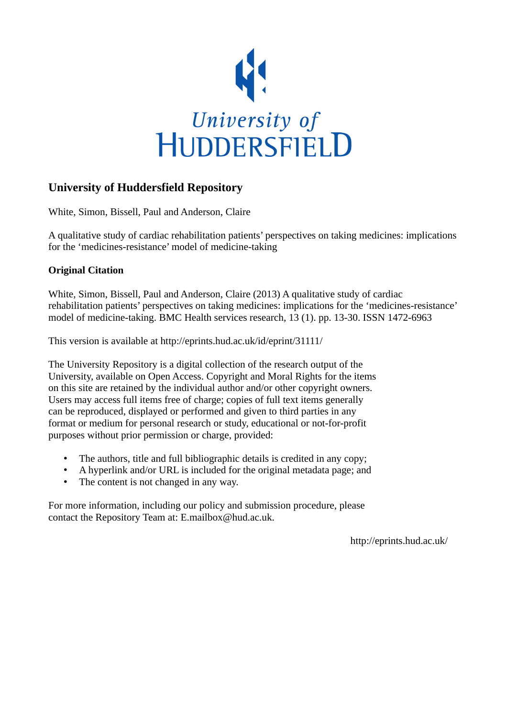

# **University of Huddersfield Repository**

White, Simon, Bissell, Paul and Anderson, Claire

A qualitative study of cardiac rehabilitation patients' perspectives on taking medicines: implications for the 'medicines-resistance' model of medicine-taking

## **Original Citation**

White, Simon, Bissell, Paul and Anderson, Claire (2013) A qualitative study of cardiac rehabilitation patients' perspectives on taking medicines: implications for the 'medicines-resistance' model of medicine-taking. BMC Health services research, 13 (1). pp. 13-30. ISSN 1472-6963

This version is available at http://eprints.hud.ac.uk/id/eprint/31111/

The University Repository is a digital collection of the research output of the University, available on Open Access. Copyright and Moral Rights for the items on this site are retained by the individual author and/or other copyright owners. Users may access full items free of charge; copies of full text items generally can be reproduced, displayed or performed and given to third parties in any format or medium for personal research or study, educational or not-for-profit purposes without prior permission or charge, provided:

- The authors, title and full bibliographic details is credited in any copy;
- A hyperlink and/or URL is included for the original metadata page; and
- The content is not changed in any way.

For more information, including our policy and submission procedure, please contact the Repository Team at: E.mailbox@hud.ac.uk.

http://eprints.hud.ac.uk/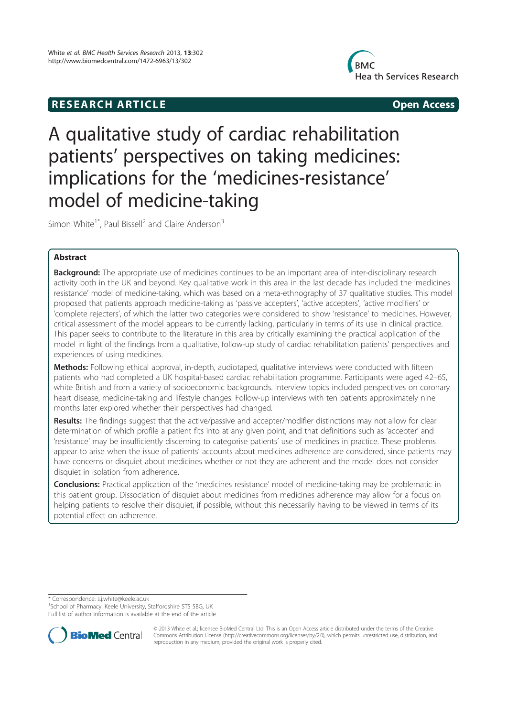# **RESEARCH ARTICLE Example 2018 12:00 Open Access**



# A qualitative study of cardiac rehabilitation patients' perspectives on taking medicines: implications for the 'medicines-resistance' model of medicine-taking

Simon White<sup>1\*</sup>, Paul Bissell<sup>2</sup> and Claire Anderson<sup>3</sup>

### Abstract

Background: The appropriate use of medicines continues to be an important area of inter-disciplinary research activity both in the UK and beyond. Key qualitative work in this area in the last decade has included the 'medicines resistance' model of medicine-taking, which was based on a meta-ethnography of 37 qualitative studies. This model proposed that patients approach medicine-taking as 'passive accepters', 'active accepters', 'active modifiers' or 'complete rejecters', of which the latter two categories were considered to show 'resistance' to medicines. However, critical assessment of the model appears to be currently lacking, particularly in terms of its use in clinical practice. This paper seeks to contribute to the literature in this area by critically examining the practical application of the model in light of the findings from a qualitative, follow-up study of cardiac rehabilitation patients' perspectives and experiences of using medicines.

Methods: Following ethical approval, in-depth, audiotaped, qualitative interviews were conducted with fifteen patients who had completed a UK hospital-based cardiac rehabilitation programme. Participants were aged 42–65, white British and from a variety of socioeconomic backgrounds. Interview topics included perspectives on coronary heart disease, medicine-taking and lifestyle changes. Follow-up interviews with ten patients approximately nine months later explored whether their perspectives had changed.

Results: The findings suggest that the active/passive and accepter/modifier distinctions may not allow for clear determination of which profile a patient fits into at any given point, and that definitions such as 'accepter' and 'resistance' may be insufficiently discerning to categorise patients' use of medicines in practice. These problems appear to arise when the issue of patients' accounts about medicines adherence are considered, since patients may have concerns or disquiet about medicines whether or not they are adherent and the model does not consider disquiet in isolation from adherence.

**Conclusions:** Practical application of the 'medicines resistance' model of medicine-taking may be problematic in this patient group. Dissociation of disquiet about medicines from medicines adherence may allow for a focus on helping patients to resolve their disquiet, if possible, without this necessarily having to be viewed in terms of its potential effect on adherence.

\* Correspondence: s.j.white@keele.ac.uk

<sup>1</sup>School of Pharmacy, Keele University, Staffordshire ST5 5BG, UK Full list of author information is available at the end of the article



© 2013 White et al.; licensee BioMed Central Ltd. This is an Open Access article distributed under the terms of the Creative Commons Attribution License (http://creativecommons.org/licenses/by/2.0), which permits unrestricted use, distribution, and reproduction in any medium, provided the original work is properly cited.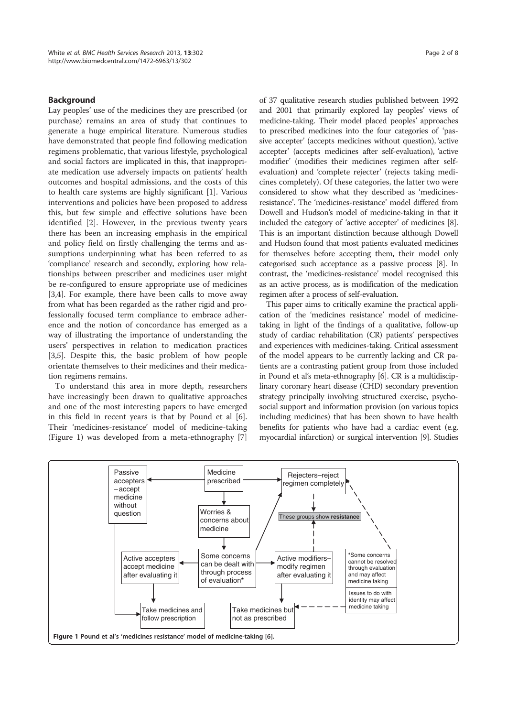#### **Background**

Lay peoples' use of the medicines they are prescribed (or purchase) remains an area of study that continues to generate a huge empirical literature. Numerous studies have demonstrated that people find following medication regimens problematic, that various lifestyle, psychological and social factors are implicated in this, that inappropriate medication use adversely impacts on patients' health outcomes and hospital admissions, and the costs of this to health care systems are highly significant [1]. Various interventions and policies have been proposed to address this, but few simple and effective solutions have been identified [2]. However, in the previous twenty years there has been an increasing emphasis in the empirical and policy field on firstly challenging the terms and assumptions underpinning what has been referred to as 'compliance' research and secondly, exploring how relationships between prescriber and medicines user might be re-configured to ensure appropriate use of medicines [3,4]. For example, there have been calls to move away from what has been regarded as the rather rigid and professionally focused term compliance to embrace adherence and the notion of concordance has emerged as a way of illustrating the importance of understanding the users' perspectives in relation to medication practices [3,5]. Despite this, the basic problem of how people orientate themselves to their medicines and their medication regimens remains.

To understand this area in more depth, researchers have increasingly been drawn to qualitative approaches and one of the most interesting papers to have emerged in this field in recent years is that by Pound et al [6]. Their 'medicines-resistance' model of medicine-taking (Figure 1) was developed from a meta-ethnography [7]

of 37 qualitative research studies published between 1992 and 2001 that primarily explored lay peoples' views of medicine-taking. Their model placed peoples' approaches to prescribed medicines into the four categories of 'passive accepter' (accepts medicines without question), 'active accepter' (accepts medicines after self-evaluation), 'active modifier' (modifies their medicines regimen after selfevaluation) and 'complete rejecter' (rejects taking medicines completely). Of these categories, the latter two were considered to show what they described as 'medicinesresistance'. The 'medicines-resistance' model differed from Dowell and Hudson's model of medicine-taking in that it included the category of 'active accepter' of medicines [8]. This is an important distinction because although Dowell and Hudson found that most patients evaluated medicines for themselves before accepting them, their model only categorised such acceptance as a passive process [8]. In contrast, the 'medicines-resistance' model recognised this as an active process, as is modification of the medication regimen after a process of self-evaluation.

This paper aims to critically examine the practical application of the 'medicines resistance' model of medicinetaking in light of the findings of a qualitative, follow-up study of cardiac rehabilitation (CR) patients' perspectives and experiences with medicines-taking. Critical assessment of the model appears to be currently lacking and CR patients are a contrasting patient group from those included in Pound et al's meta-ethnography [6]. CR is a multidisciplinary coronary heart disease (CHD) secondary prevention strategy principally involving structured exercise, psychosocial support and information provision (on various topics including medicines) that has been shown to have health benefits for patients who have had a cardiac event (e.g. myocardial infarction) or surgical intervention [9]. Studies

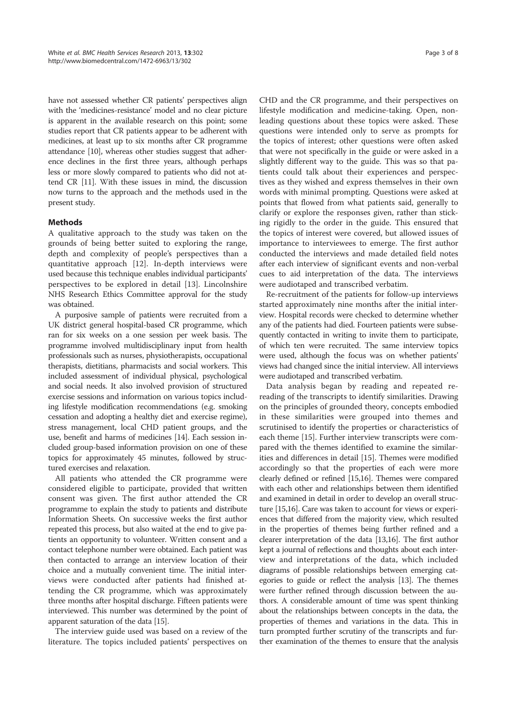have not assessed whether CR patients' perspectives align with the 'medicines-resistance' model and no clear picture is apparent in the available research on this point; some studies report that CR patients appear to be adherent with medicines, at least up to six months after CR programme attendance [10], whereas other studies suggest that adherence declines in the first three years, although perhaps less or more slowly compared to patients who did not attend CR [11]. With these issues in mind, the discussion now turns to the approach and the methods used in the present study.

#### Methods

A qualitative approach to the study was taken on the grounds of being better suited to exploring the range, depth and complexity of people's perspectives than a quantitative approach [12]. In-depth interviews were used because this technique enables individual participants' perspectives to be explored in detail [13]. Lincolnshire NHS Research Ethics Committee approval for the study was obtained.

A purposive sample of patients were recruited from a UK district general hospital-based CR programme, which ran for six weeks on a one session per week basis. The programme involved multidisciplinary input from health professionals such as nurses, physiotherapists, occupational therapists, dietitians, pharmacists and social workers. This included assessment of individual physical, psychological and social needs. It also involved provision of structured exercise sessions and information on various topics including lifestyle modification recommendations (e.g. smoking cessation and adopting a healthy diet and exercise regime), stress management, local CHD patient groups, and the use, benefit and harms of medicines [14]. Each session included group-based information provision on one of these topics for approximately 45 minutes, followed by structured exercises and relaxation.

All patients who attended the CR programme were considered eligible to participate, provided that written consent was given. The first author attended the CR programme to explain the study to patients and distribute Information Sheets. On successive weeks the first author repeated this process, but also waited at the end to give patients an opportunity to volunteer. Written consent and a contact telephone number were obtained. Each patient was then contacted to arrange an interview location of their choice and a mutually convenient time. The initial interviews were conducted after patients had finished attending the CR programme, which was approximately three months after hospital discharge. Fifteen patients were interviewed. This number was determined by the point of apparent saturation of the data [15].

The interview guide used was based on a review of the literature. The topics included patients' perspectives on CHD and the CR programme, and their perspectives on lifestyle modification and medicine-taking. Open, nonleading questions about these topics were asked. These questions were intended only to serve as prompts for the topics of interest; other questions were often asked that were not specifically in the guide or were asked in a slightly different way to the guide. This was so that patients could talk about their experiences and perspectives as they wished and express themselves in their own words with minimal prompting. Questions were asked at points that flowed from what patients said, generally to clarify or explore the responses given, rather than sticking rigidly to the order in the guide. This ensured that the topics of interest were covered, but allowed issues of importance to interviewees to emerge. The first author conducted the interviews and made detailed field notes after each interview of significant events and non-verbal cues to aid interpretation of the data. The interviews were audiotaped and transcribed verbatim.

Re-recruitment of the patients for follow-up interviews started approximately nine months after the initial interview. Hospital records were checked to determine whether any of the patients had died. Fourteen patients were subsequently contacted in writing to invite them to participate, of which ten were recruited. The same interview topics were used, although the focus was on whether patients' views had changed since the initial interview. All interviews were audiotaped and transcribed verbatim.

Data analysis began by reading and repeated rereading of the transcripts to identify similarities. Drawing on the principles of grounded theory, concepts embodied in these similarities were grouped into themes and scrutinised to identify the properties or characteristics of each theme [15]. Further interview transcripts were compared with the themes identified to examine the similarities and differences in detail [15]. Themes were modified accordingly so that the properties of each were more clearly defined or refined [15,16]. Themes were compared with each other and relationships between them identified and examined in detail in order to develop an overall structure [15,16]. Care was taken to account for views or experiences that differed from the majority view, which resulted in the properties of themes being further refined and a clearer interpretation of the data [13,16]. The first author kept a journal of reflections and thoughts about each interview and interpretations of the data, which included diagrams of possible relationships between emerging categories to guide or reflect the analysis [13]. The themes were further refined through discussion between the authors. A considerable amount of time was spent thinking about the relationships between concepts in the data, the properties of themes and variations in the data. This in turn prompted further scrutiny of the transcripts and further examination of the themes to ensure that the analysis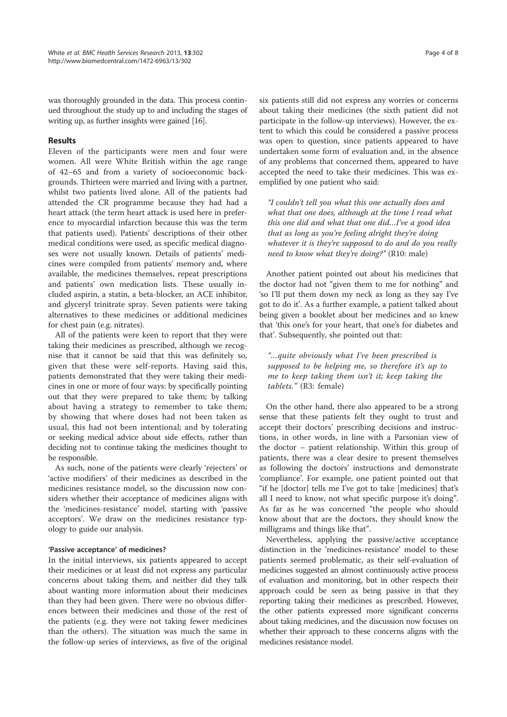was thoroughly grounded in the data. This process continued throughout the study up to and including the stages of writing up, as further insights were gained [16].

#### Results

Eleven of the participants were men and four were women. All were White British within the age range of 42–65 and from a variety of socioeconomic backgrounds. Thirteen were married and living with a partner, whilst two patients lived alone. All of the patients had attended the CR programme because they had had a heart attack (the term heart attack is used here in preference to myocardial infarction because this was the term that patients used). Patients' descriptions of their other medical conditions were used, as specific medical diagnoses were not usually known. Details of patients' medicines were compiled from patients' memory and, where available, the medicines themselves, repeat prescriptions and patients' own medication lists. These usually included aspirin, a statin, a beta-blocker, an ACE inhibitor, and glyceryl trinitrate spray. Seven patients were taking alternatives to these medicines or additional medicines for chest pain (e.g. nitrates).

All of the patients were keen to report that they were taking their medicines as prescribed, although we recognise that it cannot be said that this was definitely so, given that these were self-reports. Having said this, patients demonstrated that they were taking their medicines in one or more of four ways: by specifically pointing out that they were prepared to take them; by talking about having a strategy to remember to take them; by showing that where doses had not been taken as usual, this had not been intentional; and by tolerating or seeking medical advice about side effects, rather than deciding not to continue taking the medicines thought to be responsible.

As such, none of the patients were clearly 'rejecters' or 'active modifiers' of their medicines as described in the medicines resistance model, so the discussion now considers whether their acceptance of medicines aligns with the 'medicines-resistance' model, starting with 'passive acceptors'. We draw on the medicines resistance typology to guide our analysis.

#### 'Passive acceptance' of medicines?

In the initial interviews, six patients appeared to accept their medicines or at least did not express any particular concerns about taking them, and neither did they talk about wanting more information about their medicines than they had been given. There were no obvious differences between their medicines and those of the rest of the patients (e.g. they were not taking fewer medicines than the others). The situation was much the same in the follow-up series of interviews, as five of the original six patients still did not express any worries or concerns about taking their medicines (the sixth patient did not participate in the follow-up interviews). However, the extent to which this could be considered a passive process was open to question, since patients appeared to have undertaken some form of evaluation and, in the absence of any problems that concerned them, appeared to have accepted the need to take their medicines. This was exemplified by one patient who said:

"I couldn't tell you what this one actually does and what that one does, although at the time I read what this one did and what that one did…I've a good idea that as long as you're feeling alright they're doing whatever it is they're supposed to do and do you really need to know what they're doing?" (R10: male)

Another patient pointed out about his medicines that the doctor had not "given them to me for nothing" and 'so I'll put them down my neck as long as they say I've got to do it'. As a further example, a patient talked about being given a booklet about her medicines and so knew that 'this one's for your heart, that one's for diabetes and that'. Subsequently, she pointed out that:

"…quite obviously what I've been prescribed is supposed to be helping me, so therefore it's up to me to keep taking them isn't it; keep taking the tablets." (R3: female)

On the other hand, there also appeared to be a strong sense that these patients felt they ought to trust and accept their doctors' prescribing decisions and instructions, in other words, in line with a Parsonian view of the doctor – patient relationship. Within this group of patients, there was a clear desire to present themselves as following the doctors' instructions and demonstrate 'compliance'. For example, one patient pointed out that "if he [doctor] tells me I've got to take [medicines] that's all I need to know, not what specific purpose it's doing". As far as he was concerned "the people who should know about that are the doctors, they should know the milligrams and things like that".

Nevertheless, applying the passive/active acceptance distinction in the 'medicines-resistance' model to these patients seemed problematic, as their self-evaluation of medicines suggested an almost continuously active process of evaluation and monitoring, but in other respects their approach could be seen as being passive in that they reporting taking their medicines as prescribed. However, the other patients expressed more significant concerns about taking medicines, and the discussion now focuses on whether their approach to these concerns aligns with the medicines resistance model.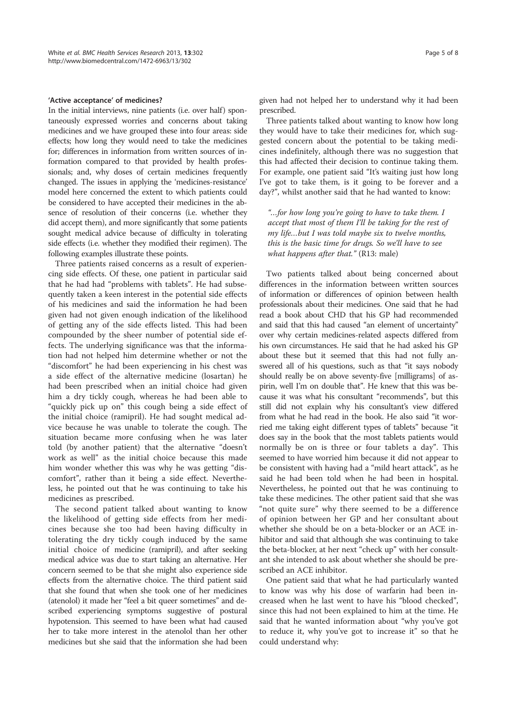#### 'Active acceptance' of medicines?

In the initial interviews, nine patients (i.e. over half) spontaneously expressed worries and concerns about taking medicines and we have grouped these into four areas: side effects; how long they would need to take the medicines for; differences in information from written sources of information compared to that provided by health professionals; and, why doses of certain medicines frequently changed. The issues in applying the 'medicines-resistance' model here concerned the extent to which patients could be considered to have accepted their medicines in the absence of resolution of their concerns (i.e. whether they did accept them), and more significantly that some patients sought medical advice because of difficulty in tolerating side effects (i.e. whether they modified their regimen). The following examples illustrate these points.

Three patients raised concerns as a result of experiencing side effects. Of these, one patient in particular said that he had had "problems with tablets". He had subsequently taken a keen interest in the potential side effects of his medicines and said the information he had been given had not given enough indication of the likelihood of getting any of the side effects listed. This had been compounded by the sheer number of potential side effects. The underlying significance was that the information had not helped him determine whether or not the "discomfort" he had been experiencing in his chest was a side effect of the alternative medicine (losartan) he had been prescribed when an initial choice had given him a dry tickly cough, whereas he had been able to "quickly pick up on" this cough being a side effect of the initial choice (ramipril). He had sought medical advice because he was unable to tolerate the cough. The situation became more confusing when he was later told (by another patient) that the alternative "doesn't work as well" as the initial choice because this made him wonder whether this was why he was getting "discomfort", rather than it being a side effect. Nevertheless, he pointed out that he was continuing to take his medicines as prescribed.

The second patient talked about wanting to know the likelihood of getting side effects from her medicines because she too had been having difficulty in tolerating the dry tickly cough induced by the same initial choice of medicine (ramipril), and after seeking medical advice was due to start taking an alternative. Her concern seemed to be that she might also experience side effects from the alternative choice. The third patient said that she found that when she took one of her medicines (atenolol) it made her "feel a bit queer sometimes" and described experiencing symptoms suggestive of postural hypotension. This seemed to have been what had caused her to take more interest in the atenolol than her other medicines but she said that the information she had been given had not helped her to understand why it had been prescribed.

Three patients talked about wanting to know how long they would have to take their medicines for, which suggested concern about the potential to be taking medicines indefinitely, although there was no suggestion that this had affected their decision to continue taking them. For example, one patient said "It's waiting just how long I've got to take them, is it going to be forever and a day?", whilst another said that he had wanted to know:

"…for how long you're going to have to take them. I accept that most of them I'll be taking for the rest of my life…but I was told maybe six to twelve months, this is the basic time for drugs. So we'll have to see what happens after that." (R13: male)

Two patients talked about being concerned about differences in the information between written sources of information or differences of opinion between health professionals about their medicines. One said that he had read a book about CHD that his GP had recommended and said that this had caused "an element of uncertainty" over why certain medicines-related aspects differed from his own circumstances. He said that he had asked his GP about these but it seemed that this had not fully answered all of his questions, such as that "it says nobody should really be on above seventy-five [milligrams] of aspirin, well I'm on double that". He knew that this was because it was what his consultant "recommends", but this still did not explain why his consultant's view differed from what he had read in the book. He also said "it worried me taking eight different types of tablets" because "it does say in the book that the most tablets patients would normally be on is three or four tablets a day". This seemed to have worried him because it did not appear to be consistent with having had a "mild heart attack", as he said he had been told when he had been in hospital. Nevertheless, he pointed out that he was continuing to take these medicines. The other patient said that she was "not quite sure" why there seemed to be a difference of opinion between her GP and her consultant about whether she should be on a beta-blocker or an ACE inhibitor and said that although she was continuing to take the beta-blocker, at her next "check up" with her consultant she intended to ask about whether she should be prescribed an ACE inhibitor.

One patient said that what he had particularly wanted to know was why his dose of warfarin had been increased when he last went to have his "blood checked", since this had not been explained to him at the time. He said that he wanted information about "why you've got to reduce it, why you've got to increase it" so that he could understand why: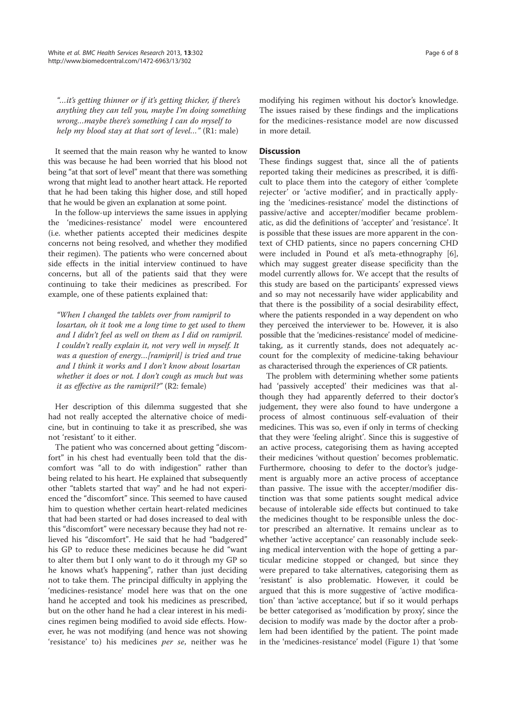"…it's getting thinner or if it's getting thicker, if there's anything they can tell you, maybe I'm doing something wrong…maybe there's something I can do myself to help my blood stay at that sort of level..." (R1: male)

It seemed that the main reason why he wanted to know this was because he had been worried that his blood not being "at that sort of level" meant that there was something wrong that might lead to another heart attack. He reported that he had been taking this higher dose, and still hoped that he would be given an explanation at some point.

In the follow-up interviews the same issues in applying the 'medicines-resistance' model were encountered (i.e. whether patients accepted their medicines despite concerns not being resolved, and whether they modified their regimen). The patients who were concerned about side effects in the initial interview continued to have concerns, but all of the patients said that they were continuing to take their medicines as prescribed. For example, one of these patients explained that:

"When I changed the tablets over from ramipril to losartan, oh it took me a long time to get used to them and I didn't feel as well on them as I did on ramipril. I couldn't really explain it, not very well in myself. It was a question of energy…[ramipril] is tried and true and I think it works and I don't know about losartan whether it does or not. I don't cough as much but was it as effective as the ramipril?" (R2: female)

Her description of this dilemma suggested that she had not really accepted the alternative choice of medicine, but in continuing to take it as prescribed, she was not 'resistant' to it either.

The patient who was concerned about getting "discomfort" in his chest had eventually been told that the discomfort was "all to do with indigestion" rather than being related to his heart. He explained that subsequently other "tablets started that way" and he had not experienced the "discomfort" since. This seemed to have caused him to question whether certain heart-related medicines that had been started or had doses increased to deal with this "discomfort" were necessary because they had not relieved his "discomfort". He said that he had "badgered" his GP to reduce these medicines because he did "want to alter them but I only want to do it through my GP so he knows what's happening", rather than just deciding not to take them. The principal difficulty in applying the 'medicines-resistance' model here was that on the one hand he accepted and took his medicines as prescribed, but on the other hand he had a clear interest in his medicines regimen being modified to avoid side effects. However, he was not modifying (and hence was not showing 'resistance' to) his medicines per se, neither was he modifying his regimen without his doctor's knowledge. The issues raised by these findings and the implications for the medicines-resistance model are now discussed in more detail.

#### **Discussion**

These findings suggest that, since all the of patients reported taking their medicines as prescribed, it is difficult to place them into the category of either 'complete rejecter' or 'active modifier', and in practically applying the 'medicines-resistance' model the distinctions of passive/active and accepter/modifier became problematic, as did the definitions of 'accepter' and 'resistance'. It is possible that these issues are more apparent in the context of CHD patients, since no papers concerning CHD were included in Pound et al's meta-ethnography [6], which may suggest greater disease specificity than the model currently allows for. We accept that the results of this study are based on the participants' expressed views and so may not necessarily have wider applicability and that there is the possibility of a social desirability effect, where the patients responded in a way dependent on who they perceived the interviewer to be. However, it is also possible that the 'medicines-resistance' model of medicinetaking, as it currently stands, does not adequately account for the complexity of medicine-taking behaviour as characterised through the experiences of CR patients.

The problem with determining whether some patients had 'passively accepted' their medicines was that although they had apparently deferred to their doctor's judgement, they were also found to have undergone a process of almost continuous self-evaluation of their medicines. This was so, even if only in terms of checking that they were 'feeling alright'. Since this is suggestive of an active process, categorising them as having accepted their medicines 'without question' becomes problematic. Furthermore, choosing to defer to the doctor's judgement is arguably more an active process of acceptance than passive. The issue with the accepter/modifier distinction was that some patients sought medical advice because of intolerable side effects but continued to take the medicines thought to be responsible unless the doctor prescribed an alternative. It remains unclear as to whether 'active acceptance' can reasonably include seeking medical intervention with the hope of getting a particular medicine stopped or changed, but since they were prepared to take alternatives, categorising them as 'resistant' is also problematic. However, it could be argued that this is more suggestive of 'active modification' than 'active acceptance', but if so it would perhaps be better categorised as 'modification by proxy', since the decision to modify was made by the doctor after a problem had been identified by the patient. The point made in the 'medicines-resistance' model (Figure 1) that 'some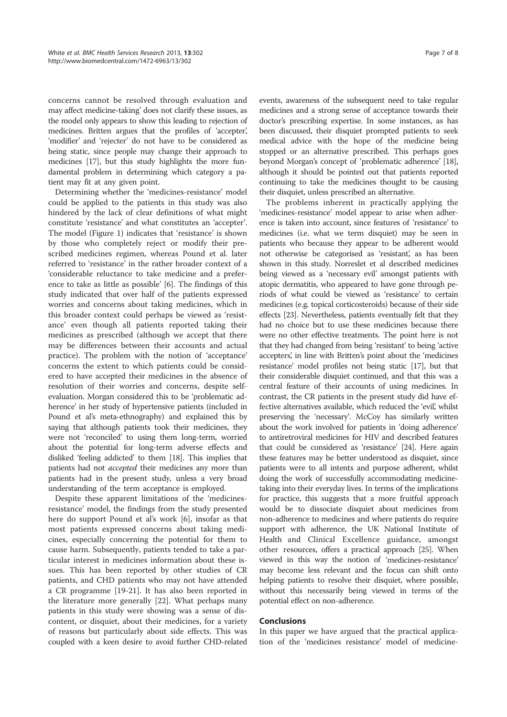concerns cannot be resolved through evaluation and may affect medicine-taking' does not clarify these issues, as the model only appears to show this leading to rejection of medicines. Britten argues that the profiles of 'accepter,' 'modifier' and 'rejecter' do not have to be considered as being static, since people may change their approach to medicines [17], but this study highlights the more fundamental problem in determining which category a patient may fit at any given point.

Determining whether the 'medicines-resistance' model could be applied to the patients in this study was also hindered by the lack of clear definitions of what might constitute 'resistance' and what constitutes an 'accepter'. The model (Figure 1) indicates that 'resistance' is shown by those who completely reject or modify their prescribed medicines regimen, whereas Pound et al. later referred to 'resistance' in the rather broader context of a 'considerable reluctance to take medicine and a preference to take as little as possible' [6]. The findings of this study indicated that over half of the patients expressed worries and concerns about taking medicines, which in this broader context could perhaps be viewed as 'resistance' even though all patients reported taking their medicines as prescribed (although we accept that there may be differences between their accounts and actual practice). The problem with the notion of 'acceptance' concerns the extent to which patients could be considered to have accepted their medicines in the absence of resolution of their worries and concerns, despite selfevaluation. Morgan considered this to be 'problematic adherence' in her study of hypertensive patients (included in Pound et al's meta-ethnography) and explained this by saying that although patients took their medicines, they were not 'reconciled' to using them long-term, worried about the potential for long-term adverse effects and disliked 'feeling addicted' to them [18]. This implies that patients had not accepted their medicines any more than patients had in the present study, unless a very broad understanding of the term acceptance is employed.

Despite these apparent limitations of the 'medicinesresistance' model, the findings from the study presented here do support Pound et al's work [6], insofar as that most patients expressed concerns about taking medicines, especially concerning the potential for them to cause harm. Subsequently, patients tended to take a particular interest in medicines information about these issues. This has been reported by other studies of CR patients, and CHD patients who may not have attended a CR programme [19-21]. It has also been reported in the literature more generally [22]. What perhaps many patients in this study were showing was a sense of discontent, or disquiet, about their medicines, for a variety of reasons but particularly about side effects. This was coupled with a keen desire to avoid further CHD-related events, awareness of the subsequent need to take regular medicines and a strong sense of acceptance towards their doctor's prescribing expertise. In some instances, as has been discussed, their disquiet prompted patients to seek medical advice with the hope of the medicine being stopped or an alternative prescribed. This perhaps goes beyond Morgan's concept of 'problematic adherence' [18], although it should be pointed out that patients reported continuing to take the medicines thought to be causing their disquiet, unless prescribed an alternative.

The problems inherent in practically applying the 'medicines-resistance' model appear to arise when adherence is taken into account, since features of 'resistance' to medicines (i.e. what we term disquiet) may be seen in patients who because they appear to be adherent would not otherwise be categorised as 'resistant', as has been shown in this study. Norreslet et al described medicines being viewed as a 'necessary evil' amongst patients with atopic dermatitis, who appeared to have gone through periods of what could be viewed as 'resistance' to certain medicines (e.g. topical corticosteroids) because of their side effects [23]. Nevertheless, patients eventually felt that they had no choice but to use these medicines because there were no other effective treatments. The point here is not that they had changed from being 'resistant' to being 'active accepters, in line with Britten's point about the 'medicines resistance' model profiles not being static [17], but that their considerable disquiet continued, and that this was a central feature of their accounts of using medicines. In contrast, the CR patients in the present study did have effective alternatives available, which reduced the 'evil', whilst preserving the 'necessary'. McCoy has similarly written about the work involved for patients in 'doing adherence' to antiretroviral medicines for HIV and described features that could be considered as 'resistance' [24]. Here again these features may be better understood as disquiet, since patients were to all intents and purpose adherent, whilst doing the work of successfully accommodating medicinetaking into their everyday lives. In terms of the implications for practice, this suggests that a more fruitful approach would be to dissociate disquiet about medicines from non-adherence to medicines and where patients do require support with adherence, the UK National Institute of Health and Clinical Excellence guidance, amongst other resources, offers a practical approach [25]. When viewed in this way the notion of 'medicines-resistance' may become less relevant and the focus can shift onto helping patients to resolve their disquiet, where possible, without this necessarily being viewed in terms of the potential effect on non-adherence.

#### Conclusions

In this paper we have argued that the practical application of the 'medicines resistance' model of medicine